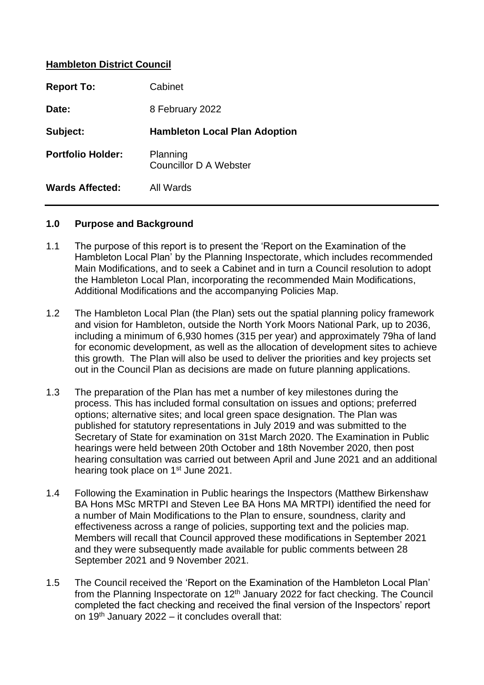#### **Hambleton District Council**

| <b>Report To:</b>        | Cabinet                              |  |
|--------------------------|--------------------------------------|--|
| Date:                    | 8 February 2022                      |  |
| Subject:                 | <b>Hambleton Local Plan Adoption</b> |  |
| <b>Portfolio Holder:</b> | Planning<br>Councillor D A Webster   |  |
|                          |                                      |  |

#### **1.0 Purpose and Background**

- 1.1 The purpose of this report is to present the 'Report on the Examination of the Hambleton Local Plan' by the Planning Inspectorate, which includes recommended Main Modifications, and to seek a Cabinet and in turn a Council resolution to adopt the Hambleton Local Plan, incorporating the recommended Main Modifications, Additional Modifications and the accompanying Policies Map.
- 1.2 The Hambleton Local Plan (the Plan) sets out the spatial planning policy framework and vision for Hambleton, outside the North York Moors National Park, up to 2036, including a minimum of 6,930 homes (315 per year) and approximately 79ha of land for economic development, as well as the allocation of development sites to achieve this growth. The Plan will also be used to deliver the priorities and key projects set out in the Council Plan as decisions are made on future planning applications.
- 1.3 The preparation of the Plan has met a number of key milestones during the process. This has included formal consultation on issues and options; preferred options; alternative sites; and local green space designation. The Plan was published for statutory representations in July 2019 and was submitted to the Secretary of State for examination on 31st March 2020. The Examination in Public hearings were held between 20th October and 18th November 2020, then post hearing consultation was carried out between April and June 2021 and an additional hearing took place on 1<sup>st</sup> June 2021.
- 1.4 Following the Examination in Public hearings the Inspectors (Matthew Birkenshaw BA Hons MSc MRTPI and Steven Lee BA Hons MA MRTPI) identified the need for a number of Main Modifications to the Plan to ensure, soundness, clarity and effectiveness across a range of policies, supporting text and the policies map. Members will recall that Council approved these modifications in September 2021 and they were subsequently made available for public comments between 28 September 2021 and 9 November 2021.
- 1.5 The Council received the 'Report on the Examination of the Hambleton Local Plan' from the Planning Inspectorate on 12th January 2022 for fact checking. The Council completed the fact checking and received the final version of the Inspectors' report on 19<sup>th</sup> January 2022 – it concludes overall that: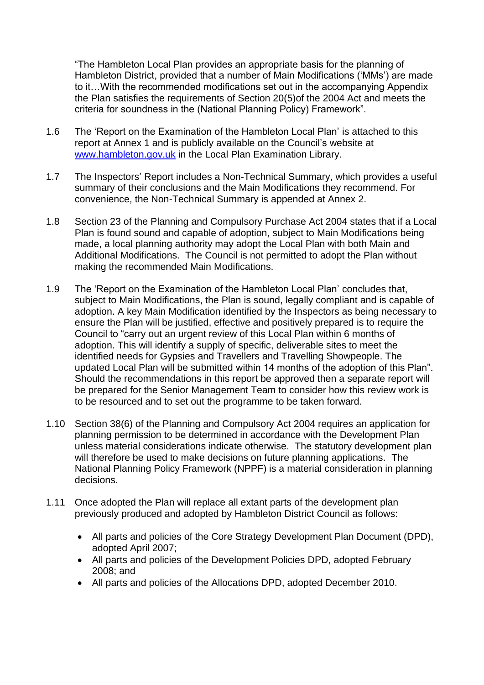"The Hambleton Local Plan provides an appropriate basis for the planning of Hambleton District, provided that a number of Main Modifications ('MMs') are made to it…With the recommended modifications set out in the accompanying Appendix the Plan satisfies the requirements of Section 20(5)of the 2004 Act and meets the criteria for soundness in the (National Planning Policy) Framework".

- 1.6 The 'Report on the Examination of the Hambleton Local Plan' is attached to this report at Annex 1 and is publicly available on the Council's website at [www.hambleton.gov.uk](http://www.hambleton.gov.uk/) in the Local Plan Examination Library.
- 1.7 The Inspectors' Report includes a Non-Technical Summary, which provides a useful summary of their conclusions and the Main Modifications they recommend. For convenience, the Non-Technical Summary is appended at Annex 2.
- 1.8 Section 23 of the Planning and Compulsory Purchase Act 2004 states that if a Local Plan is found sound and capable of adoption, subject to Main Modifications being made, a local planning authority may adopt the Local Plan with both Main and Additional Modifications. The Council is not permitted to adopt the Plan without making the recommended Main Modifications.
- 1.9 The 'Report on the Examination of the Hambleton Local Plan' concludes that, subject to Main Modifications, the Plan is sound, legally compliant and is capable of adoption. A key Main Modification identified by the Inspectors as being necessary to ensure the Plan will be justified, effective and positively prepared is to require the Council to "carry out an urgent review of this Local Plan within 6 months of adoption. This will identify a supply of specific, deliverable sites to meet the identified needs for Gypsies and Travellers and Travelling Showpeople. The updated Local Plan will be submitted within 14 months of the adoption of this Plan". Should the recommendations in this report be approved then a separate report will be prepared for the Senior Management Team to consider how this review work is to be resourced and to set out the programme to be taken forward.
- 1.10 Section 38(6) of the Planning and Compulsory Act 2004 requires an application for planning permission to be determined in accordance with the Development Plan unless material considerations indicate otherwise. The statutory development plan will therefore be used to make decisions on future planning applications. The National Planning Policy Framework (NPPF) is a material consideration in planning decisions.
- 1.11 Once adopted the Plan will replace all extant parts of the development plan previously produced and adopted by Hambleton District Council as follows:
	- All parts and policies of the Core Strategy Development Plan Document (DPD), adopted April 2007;
	- All parts and policies of the Development Policies DPD, adopted February 2008; and
	- All parts and policies of the Allocations DPD, adopted December 2010.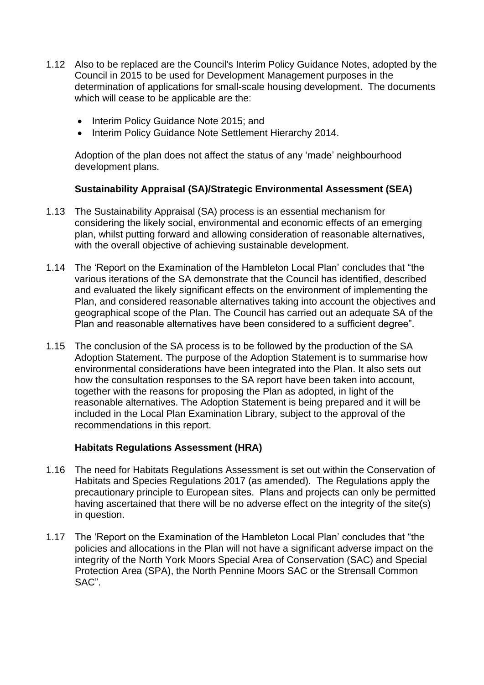- 1.12 Also to be replaced are the Council's Interim Policy Guidance Notes, adopted by the Council in 2015 to be used for Development Management purposes in the determination of applications for small-scale housing development. The documents which will cease to be applicable are the:
	- Interim Policy Guidance Note 2015; and
	- Interim Policy Guidance Note Settlement Hierarchy 2014.

Adoption of the plan does not affect the status of any 'made' neighbourhood development plans.

#### **Sustainability Appraisal (SA)/Strategic Environmental Assessment (SEA)**

- 1.13 The Sustainability Appraisal (SA) process is an essential mechanism for considering the likely social, environmental and economic effects of an emerging plan, whilst putting forward and allowing consideration of reasonable alternatives, with the overall objective of achieving sustainable development.
- 1.14 The 'Report on the Examination of the Hambleton Local Plan' concludes that "the various iterations of the SA demonstrate that the Council has identified, described and evaluated the likely significant effects on the environment of implementing the Plan, and considered reasonable alternatives taking into account the objectives and geographical scope of the Plan. The Council has carried out an adequate SA of the Plan and reasonable alternatives have been considered to a sufficient degree".
- 1.15 The conclusion of the SA process is to be followed by the production of the SA Adoption Statement. The purpose of the Adoption Statement is to summarise how environmental considerations have been integrated into the Plan. It also sets out how the consultation responses to the SA report have been taken into account, together with the reasons for proposing the Plan as adopted, in light of the reasonable alternatives. The Adoption Statement is being prepared and it will be included in the Local Plan Examination Library, subject to the approval of the recommendations in this report.

#### **Habitats Regulations Assessment (HRA)**

- 1.16 The need for Habitats Regulations Assessment is set out within the Conservation of Habitats and Species Regulations 2017 (as amended). The Regulations apply the precautionary principle to European sites. Plans and projects can only be permitted having ascertained that there will be no adverse effect on the integrity of the site(s) in question.
- 1.17 The 'Report on the Examination of the Hambleton Local Plan' concludes that "the policies and allocations in the Plan will not have a significant adverse impact on the integrity of the North York Moors Special Area of Conservation (SAC) and Special Protection Area (SPA), the North Pennine Moors SAC or the Strensall Common SAC".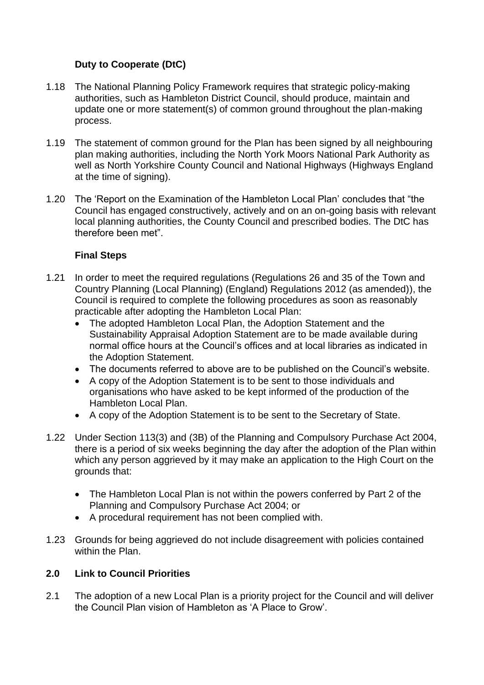# **Duty to Cooperate (DtC)**

- 1.18 The National Planning Policy Framework requires that strategic policy-making authorities, such as Hambleton District Council, should produce, maintain and update one or more statement(s) of common ground throughout the plan-making process.
- 1.19 The statement of common ground for the Plan has been signed by all neighbouring plan making authorities, including the North York Moors National Park Authority as well as North Yorkshire County Council and National Highways (Highways England at the time of signing).
- 1.20 The 'Report on the Examination of the Hambleton Local Plan' concludes that "the Council has engaged constructively, actively and on an on-going basis with relevant local planning authorities, the County Council and prescribed bodies. The DtC has therefore been met".

## **Final Steps**

- 1.21 In order to meet the required regulations (Regulations 26 and 35 of the Town and Country Planning (Local Planning) (England) Regulations 2012 (as amended)), the Council is required to complete the following procedures as soon as reasonably practicable after adopting the Hambleton Local Plan:
	- The adopted Hambleton Local Plan, the Adoption Statement and the Sustainability Appraisal Adoption Statement are to be made available during normal office hours at the Council's offices and at local libraries as indicated in the Adoption Statement.
	- The documents referred to above are to be published on the Council's website.
	- A copy of the Adoption Statement is to be sent to those individuals and organisations who have asked to be kept informed of the production of the Hambleton Local Plan.
	- A copy of the Adoption Statement is to be sent to the Secretary of State.
- 1.22 Under Section 113(3) and (3B) of the Planning and Compulsory Purchase Act 2004, there is a period of six weeks beginning the day after the adoption of the Plan within which any person aggrieved by it may make an application to the High Court on the grounds that:
	- The Hambleton Local Plan is not within the powers conferred by Part 2 of the Planning and Compulsory Purchase Act 2004; or
	- A procedural requirement has not been complied with.
- 1.23 Grounds for being aggrieved do not include disagreement with policies contained within the Plan.

## **2.0 Link to Council Priorities**

2.1 The adoption of a new Local Plan is a priority project for the Council and will deliver the Council Plan vision of Hambleton as 'A Place to Grow'.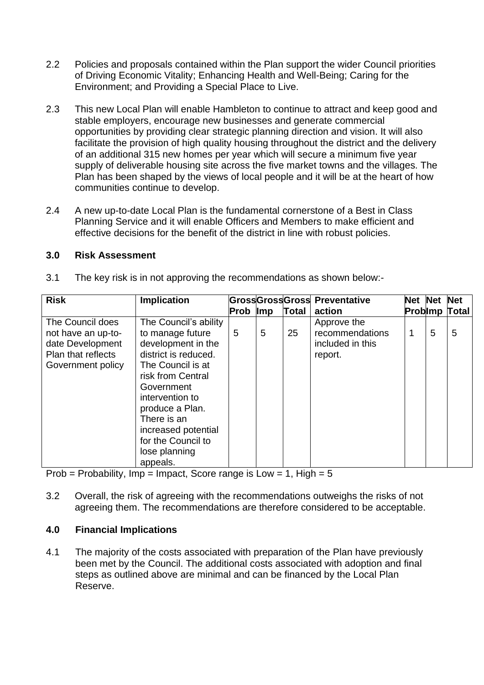- 2.2 Policies and proposals contained within the Plan support the wider Council priorities of Driving Economic Vitality; Enhancing Health and Well-Being; Caring for the Environment; and Providing a Special Place to Live.
- 2.3 This new Local Plan will enable Hambleton to continue to attract and keep good and stable employers, encourage new businesses and generate commercial opportunities by providing clear strategic planning direction and vision. It will also facilitate the provision of high quality housing throughout the district and the delivery of an additional 315 new homes per year which will secure a minimum five year supply of deliverable housing site across the five market towns and the villages. The Plan has been shaped by the views of local people and it will be at the heart of how communities continue to develop.
- 2.4 A new up-to-date Local Plan is the fundamental cornerstone of a Best in Class Planning Service and it will enable Officers and Members to make efficient and effective decisions for the benefit of the district in line with robust policies.

#### **3.0 Risk Assessment**

| <b>Risk</b>                                                                                           | <b>Implication</b>                                                                                                                                                                                                                                                             |          |   |              | <b>GrossGrossGross Preventative</b>                           | <b>Net Net</b> |   | <b>Net</b>            |
|-------------------------------------------------------------------------------------------------------|--------------------------------------------------------------------------------------------------------------------------------------------------------------------------------------------------------------------------------------------------------------------------------|----------|---|--------------|---------------------------------------------------------------|----------------|---|-----------------------|
|                                                                                                       |                                                                                                                                                                                                                                                                                | Prob Imp |   | <b>Total</b> | action                                                        |                |   | <b>Problimp Total</b> |
| The Council does<br>not have an up-to-<br>date Development<br>Plan that reflects<br>Government policy | The Council's ability<br>to manage future<br>development in the<br>district is reduced.<br>The Council is at<br>risk from Central<br>Government<br>intervention to<br>produce a Plan.<br>There is an<br>increased potential<br>for the Council to<br>lose planning<br>appeals. | 5        | 5 | 25           | Approve the<br>recommendations<br>included in this<br>report. | 1              | 5 | 5                     |

3.1 The key risk is in not approving the recommendations as shown below:-

Prob = Probability, Imp = Impact, Score range is Low =  $1$ , High =  $5$ 

3.2 Overall, the risk of agreeing with the recommendations outweighs the risks of not agreeing them. The recommendations are therefore considered to be acceptable.

# **4.0 Financial Implications**

4.1 The majority of the costs associated with preparation of the Plan have previously been met by the Council. The additional costs associated with adoption and final steps as outlined above are minimal and can be financed by the Local Plan Reserve.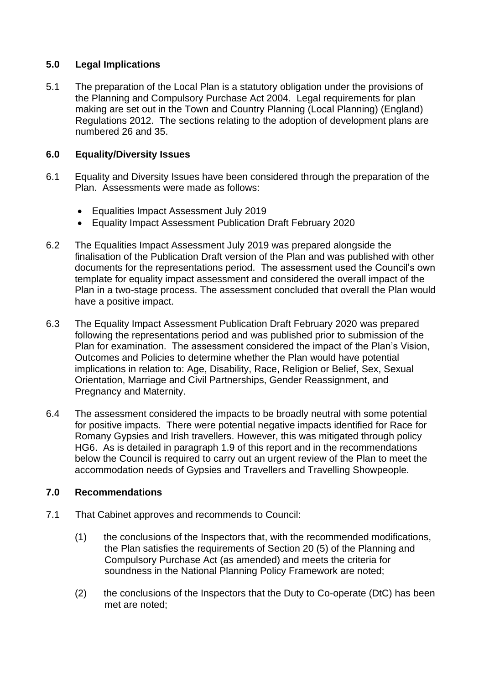## **5.0 Legal Implications**

5.1 The preparation of the Local Plan is a statutory obligation under the provisions of the Planning and Compulsory Purchase Act 2004. Legal requirements for plan making are set out in the Town and Country Planning (Local Planning) (England) Regulations 2012. The sections relating to the adoption of development plans are numbered 26 and 35.

# **6.0 Equality/Diversity Issues**

- 6.1 Equality and Diversity Issues have been considered through the preparation of the Plan. Assessments were made as follows:
	- Equalities Impact Assessment July 2019
	- Equality Impact Assessment Publication Draft February 2020
- 6.2 The Equalities Impact Assessment July 2019 was prepared alongside the finalisation of the Publication Draft version of the Plan and was published with other documents for the representations period. The assessment used the Council's own template for equality impact assessment and considered the overall impact of the Plan in a two-stage process. The assessment concluded that overall the Plan would have a positive impact.
- 6.3 The Equality Impact Assessment Publication Draft February 2020 was prepared following the representations period and was published prior to submission of the Plan for examination. The assessment considered the impact of the Plan's Vision, Outcomes and Policies to determine whether the Plan would have potential implications in relation to: Age, Disability, Race, Religion or Belief, Sex, Sexual Orientation, Marriage and Civil Partnerships, Gender Reassignment, and Pregnancy and Maternity.
- 6.4 The assessment considered the impacts to be broadly neutral with some potential for positive impacts. There were potential negative impacts identified for Race for Romany Gypsies and Irish travellers. However, this was mitigated through policy HG6. As is detailed in paragraph 1.9 of this report and in the recommendations below the Council is required to carry out an urgent review of the Plan to meet the accommodation needs of Gypsies and Travellers and Travelling Showpeople.

## **7.0 Recommendations**

- 7.1 That Cabinet approves and recommends to Council:
	- (1) the conclusions of the Inspectors that, with the recommended modifications, the Plan satisfies the requirements of Section 20 (5) of the Planning and Compulsory Purchase Act (as amended) and meets the criteria for soundness in the National Planning Policy Framework are noted;
	- (2) the conclusions of the Inspectors that the Duty to Co-operate (DtC) has been met are noted;